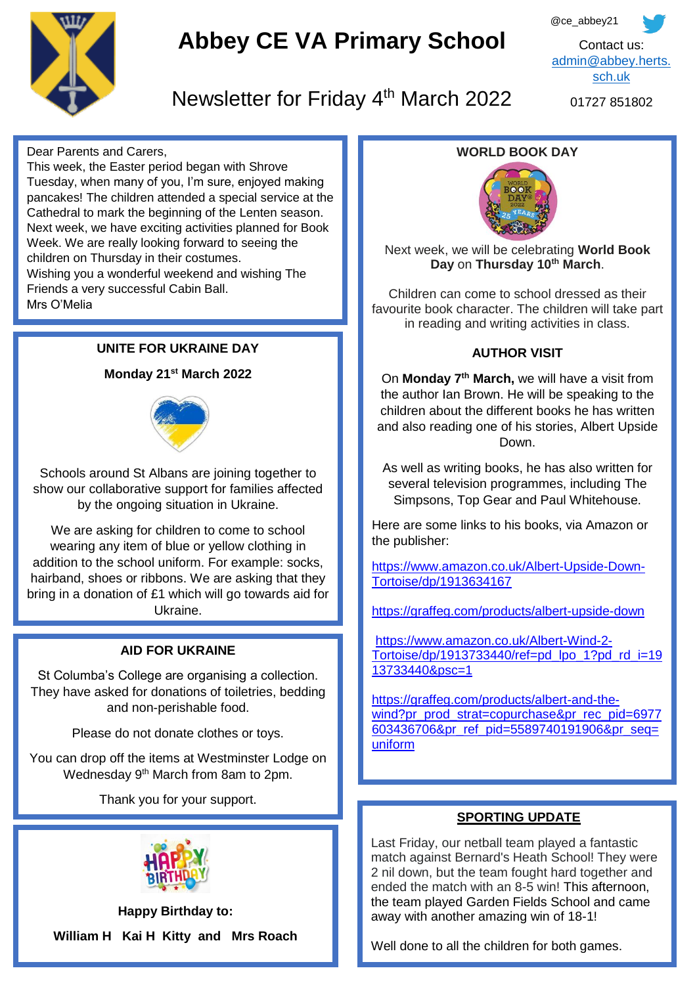

# **Abbey CE VA Primary School**



Newsletter for Friday 4<sup>th</sup> March 2022

01727 851802

Dear Parents and Carers,

This week, the Easter period began with Shrove Tuesday, when many of you, I'm sure, enjoyed making pancakes! The children attended a special service at the Cathedral to mark the beginning of the Lenten season. Next week, we have exciting activities planned for Book Week. We are really looking forward to seeing the children on Thursday in their costumes.

Wishing you a wonderful weekend and wishing The Friends a very successful Cabin Ball.

Mrs O'Melia

#### **UNITE FOR UKRAINE DAY**

#### **Monday 21st March 2022**



Schools around St Albans are joining together to show our collaborative support for families affected by the ongoing situation in Ukraine.

 hairband, shoes or ribbons. We are asking that they We are asking for children to come to school wearing any item of blue or yellow clothing in addition to the school uniform. For example: socks, bring in a donation of £1 which will go towards aid for Ukraine.

#### **AID FOR UKRAINE**

St Columba's College are organising a collection. They have asked for donations of toiletries, bedding and non-perishable food.

Please do not donate clothes or toys.

You can drop off the items at Westminster Lodge on Wednesday 9<sup>th</sup> March from 8am to 2pm.

Thank you for your support.



**Happy Birthday to: William H Kai H Kitty and Mrs Roach**

#### **WORLD BOOK DAY**



Next week, we will be celebrating **World Book Day** on **Thursday 10th March**.

Children can come to school dressed as their favourite book character. The children will take part in reading and writing activities in class.

#### **AUTHOR VISIT**

On **Monday 7th March,** we will have a visit from the author Ian Brown. He will be speaking to the children about the different books he has written and also reading one of his stories, Albert Upside Down.

As well as writing books, he has also written for several television programmes, including The Simpsons, Top Gear and Paul Whitehouse.

Here are some links to his books, via Amazon or the publisher:

[https://www.amazon.co.uk/Albert-Upside-Down-](https://www.amazon.co.uk/Albert-Upside-Down-Tortoise/dp/1913634167)[Tortoise/dp/1913634167](https://www.amazon.co.uk/Albert-Upside-Down-Tortoise/dp/1913634167)

<https://graffeg.com/products/albert-upside-down>

[https://www.amazon.co.uk/Albert-Wind-2-](https://www.amazon.co.uk/Albert-Wind-2-Tortoise/dp/1913733440/ref=pd_lpo_1?pd_rd_i=1913733440&psc=1) [Tortoise/dp/1913733440/ref=pd\\_lpo\\_1?pd\\_rd\\_i=19](https://www.amazon.co.uk/Albert-Wind-2-Tortoise/dp/1913733440/ref=pd_lpo_1?pd_rd_i=1913733440&psc=1) [13733440&psc=1](https://www.amazon.co.uk/Albert-Wind-2-Tortoise/dp/1913733440/ref=pd_lpo_1?pd_rd_i=1913733440&psc=1)

[https://graffeg.com/products/albert-and-the](https://graffeg.com/products/albert-and-the-wind?pr_prod_strat=copurchase&pr_rec_pid=6977603436706&pr_ref_pid=5589740191906&pr_seq=uniform)[wind?pr\\_prod\\_strat=copurchase&pr\\_rec\\_pid=6977](https://graffeg.com/products/albert-and-the-wind?pr_prod_strat=copurchase&pr_rec_pid=6977603436706&pr_ref_pid=5589740191906&pr_seq=uniform) [603436706&pr\\_ref\\_pid=5589740191906&pr\\_seq=](https://graffeg.com/products/albert-and-the-wind?pr_prod_strat=copurchase&pr_rec_pid=6977603436706&pr_ref_pid=5589740191906&pr_seq=uniform) [uniform](https://graffeg.com/products/albert-and-the-wind?pr_prod_strat=copurchase&pr_rec_pid=6977603436706&pr_ref_pid=5589740191906&pr_seq=uniform)

#### **SPORTING UPDATE**

Last Friday, our netball team played a fantastic match against Bernard's Heath School! They were 2 nil down, but the team fought hard together and ended the match with an 8-5 win! This afternoon, the team played Garden Fields School and came away with another amazing win of 18-1!

Well done to all the children for both games.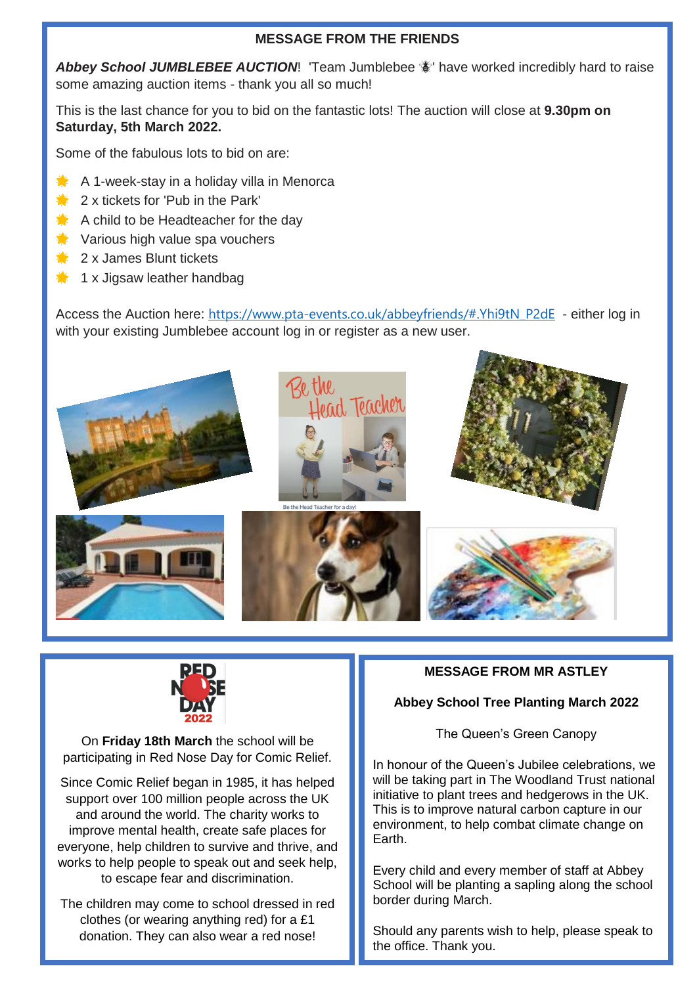#### **MESSAGE FROM THE FRIENDS**

Abbey School JUMBLEBEE AUCTION! 'Team Jumblebee  $\frac{1}{2}$ ' have worked incredibly hard to raise some amazing auction items - thank you all so much!

This is the last chance for you to bid on the fantastic lots! The auction will close at **9.30pm on Saturday, 5th March 2022.**

Some of the fabulous lots to bid on are:

- $\blacktriangleright$  A 1-week-stay in a holiday villa in Menorca
- $\frac{1}{2}$  2 x tickets for 'Pub in the Park'
- $A$  A child to be Headteacher for the day
- **Various high value spa vouchers**
- $\triangle$  2 x James Blunt tickets
- $\triangleq$  1 x Jigsaw leather handbag

Access the Auction here: [https://www.pta-events.co.uk/abbeyfriends/#.Yhi9tN\\_P2dE](https://www.pta-events.co.uk/abbeyfriends/#.Yhi9tN_P2dE) - either log in with your existing Jumblebee account log in or register as a new user.





On **Friday 18th March** the school will be participating in Red Nose Day for Comic Relief.

Since Comic Relief began in 1985, it has helped support over 100 million people across the UK and around the world. The charity works to improve mental health, create safe places for everyone, help children to survive and thrive, and works to help people to speak out and seek help, to escape fear and discrimination.

The children may come to school dressed in red clothes (or wearing anything red) for a £1 donation. They can also wear a red nose!

#### **MESSAGE FROM MR ASTLEY**

#### **Abbey School Tree Planting March 2022**

The Queen's Green Canopy

In honour of the Queen's Jubilee celebrations, we will be taking part in The Woodland Trust national initiative to plant trees and hedgerows in the UK. This is to improve natural carbon capture in our environment, to help combat climate change on Earth.

Every child and every member of staff at Abbey School will be planting a sapling along the school border during March.

Should any parents wish to help, please speak to the office. Thank you.